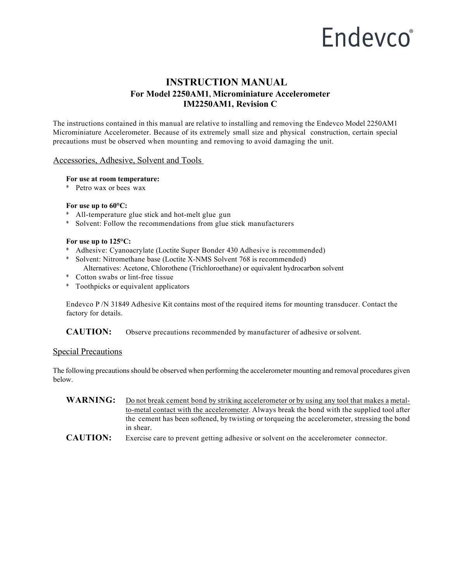# Endevco®

# **INSTRUCTION MANUAL For Model 2250AM1, Microminiature Accelerometer IM2250AM1, Revision C**

The instructions contained in this manual are relative to installing and removing the Endevco Model 2250AM1 Microminiature Accelerometer. Because of its extremely small size and physical construction, certain special precautions must be observed when mounting and removing to avoid damaging the unit.

## Accessories, Adhesive, Solvent and Tools

#### **For use at room temperature:**

\* Petro wax or bees wax

### **For use up to 60°C:**

- \* All-temperature glue stick and hot-melt glue gun
- \* Solvent: Follow the recommendations from glue stick manufacturers

### **For use up to 125°C:**

- \* Adhesive: Cyanoacrylate (Loctite Super Bonder 430 Adhesive is recommended)
- \* Solvent: Nitromethane base (Loctite X-NMS Solvent 768 is recommended) Alternatives: Acetone, Chlorothene (Trichloroethane) or equivalent hydrocarbon solvent
- \* Cotton swabs or lint-free tissue
- \* Toothpicks or equivalent applicators

Endevco P /N 31849 Adhesive Kit contains most of the required items for mounting transducer. Contact the factory for details.

**CAUTION:** Observe precautions recommended by manufacturer of adhesive orsolvent.

## Special Precautions

The following precautions should be observed when performing the accelerometer mounting and removal procedures given below.

- WARNING: Do not break cement bond by striking accelerometer or by using any tool that makes a metalto-metal contact with the accelerometer. Always break the bond with the supplied tool after the cement has been softened, by twisting or torqueing the accelerometer, stressing the bond in shear.
- **CAUTION:** Exercise care to prevent getting adhesive or solvent on the accelerometer connector.